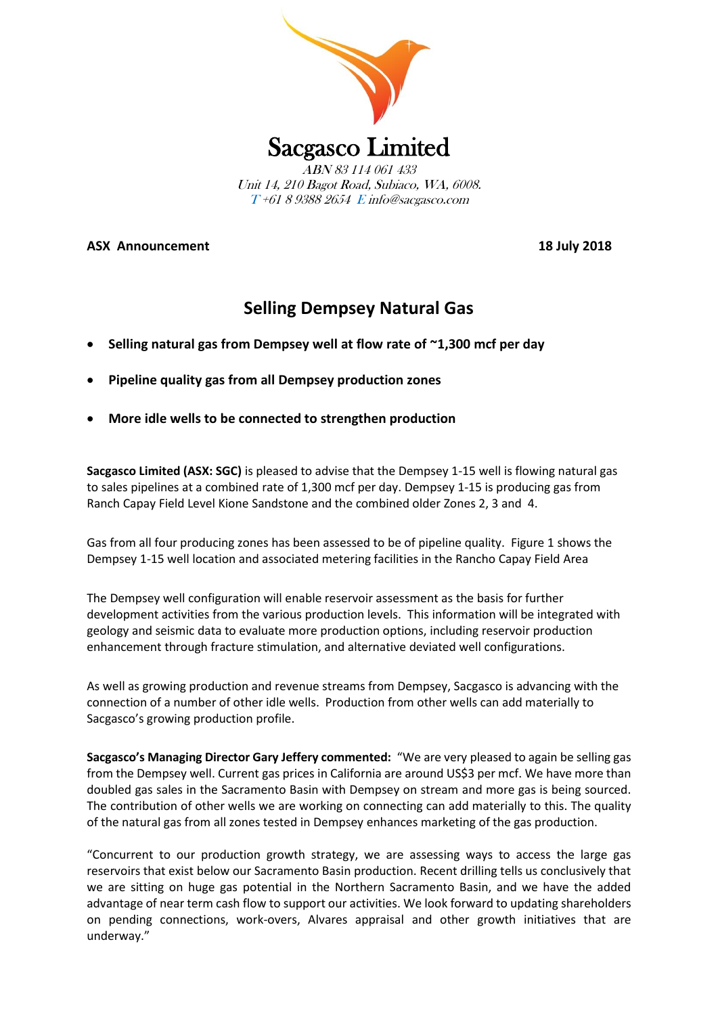

**ASX Announcement 18 July 2018**

# **Selling Dempsey Natural Gas**

- **Selling natural gas from Dempsey well at flow rate of ~1,300 mcf per day**
- **Pipeline quality gas from all Dempsey production zones**
- **More idle wells to be connected to strengthen production**

**Sacgasco Limited (ASX: SGC)** is pleased to advise that the Dempsey 1-15 well is flowing natural gas to sales pipelines at a combined rate of 1,300 mcf per day. Dempsey 1-15 is producing gas from Ranch Capay Field Level Kione Sandstone and the combined older Zones 2, 3 and 4.

Gas from all four producing zones has been assessed to be of pipeline quality. Figure 1 shows the Dempsey 1-15 well location and associated metering facilities in the Rancho Capay Field Area

The Dempsey well configuration will enable reservoir assessment as the basis for further development activities from the various production levels. This information will be integrated with geology and seismic data to evaluate more production options, including reservoir production enhancement through fracture stimulation, and alternative deviated well configurations.

As well as growing production and revenue streams from Dempsey, Sacgasco is advancing with the connection of a number of other idle wells. Production from other wells can add materially to Sacgasco's growing production profile.

**Sacgasco's Managing Director Gary Jeffery commented:** "We are very pleased to again be selling gas from the Dempsey well. Current gas prices in California are around US\$3 per mcf. We have more than doubled gas sales in the Sacramento Basin with Dempsey on stream and more gas is being sourced. The contribution of other wells we are working on connecting can add materially to this. The quality of the natural gas from all zones tested in Dempsey enhances marketing of the gas production.

"Concurrent to our production growth strategy, we are assessing ways to access the large gas reservoirs that exist below our Sacramento Basin production. Recent drilling tells us conclusively that we are sitting on huge gas potential in the Northern Sacramento Basin, and we have the added advantage of near term cash flow to support our activities. We look forward to updating shareholders on pending connections, work-overs, Alvares appraisal and other growth initiatives that are underway."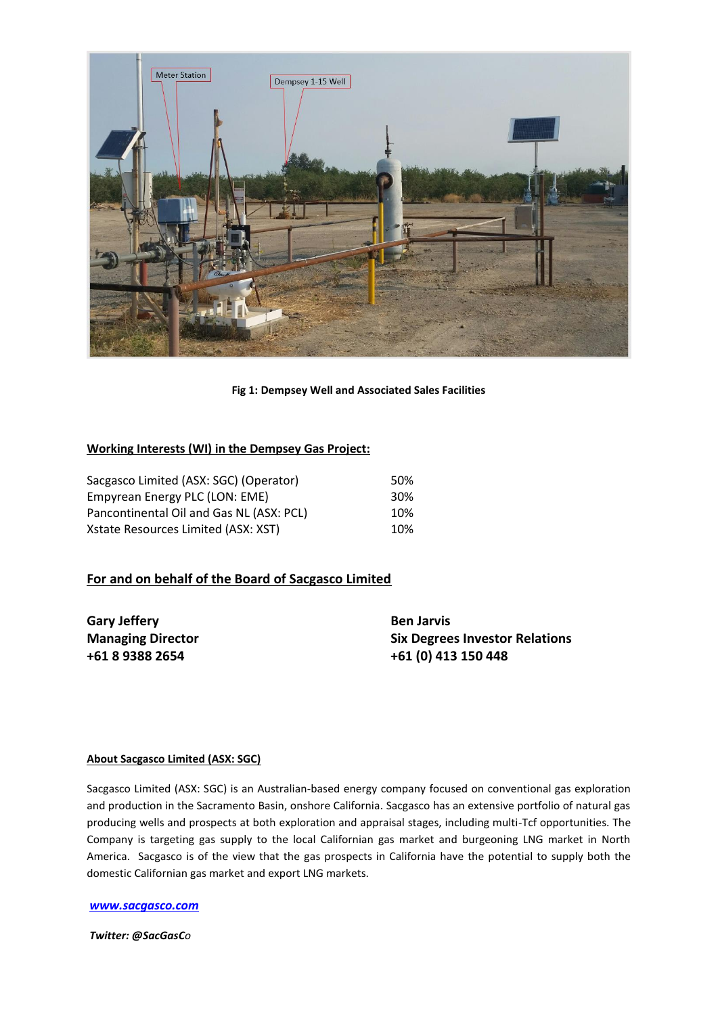

**Fig 1: Dempsey Well and Associated Sales Facilities**

### **Working Interests (WI) in the Dempsey Gas Project:**

| Sacgasco Limited (ASX: SGC) (Operator)   | 50% |
|------------------------------------------|-----|
| Empyrean Energy PLC (LON: EME)           | 30% |
| Pancontinental Oil and Gas NL (ASX: PCL) | 10% |
| Xstate Resources Limited (ASX: XST)      | 10% |

## **For and on behalf of the Board of Sacgasco Limited**

**Gary Jeffery Ben Jarvis Ben Jarvis** 

**Managing Director Six Degrees Investor Relations +61 8 9388 2654 +61 (0) 413 150 448**

#### **About Sacgasco Limited (ASX: SGC)**

Sacgasco Limited (ASX: SGC) is an Australian-based energy company focused on conventional gas exploration and production in the Sacramento Basin, onshore California. Sacgasco has an extensive portfolio of natural gas producing wells and prospects at both exploration and appraisal stages, including multi-Tcf opportunities. The Company is targeting gas supply to the local Californian gas market and burgeoning LNG market in North America. Sacgasco is of the view that the gas prospects in California have the potential to supply both the domestic Californian gas market and export LNG markets.

#### *[www.sacgasco.com](http://www.sacgasco.com/)*

*Twitter: @SacGasCo*